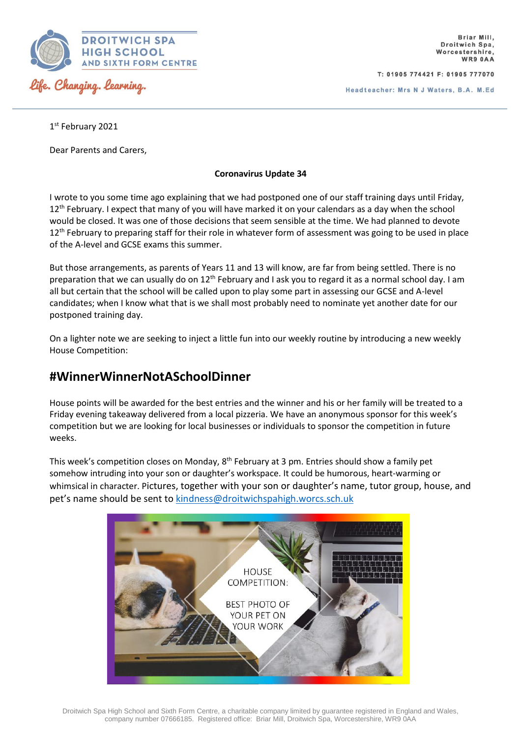

T: 01905 774421 F: 01905 777070

1<sup>st</sup> February 2021

Dear Parents and Carers,

## **Coronavirus Update 34**

I wrote to you some time ago explaining that we had postponed one of our staff training days until Friday, 12<sup>th</sup> February. I expect that many of you will have marked it on your calendars as a day when the school would be closed. It was one of those decisions that seem sensible at the time. We had planned to devote 12<sup>th</sup> February to preparing staff for their role in whatever form of assessment was going to be used in place of the A-level and GCSE exams this summer.

But those arrangements, as parents of Years 11 and 13 will know, are far from being settled. There is no preparation that we can usually do on 12<sup>th</sup> February and I ask you to regard it as a normal school day. I am all but certain that the school will be called upon to play some part in assessing our GCSE and A-level candidates; when I know what that is we shall most probably need to nominate yet another date for our postponed training day.

On a lighter note we are seeking to inject a little fun into our weekly routine by introducing a new weekly House Competition:

## **#WinnerWinnerNotASchoolDinner**

House points will be awarded for the best entries and the winner and his or her family will be treated to a Friday evening takeaway delivered from a local pizzeria. We have an anonymous sponsor for this week's competition but we are looking for local businesses or individuals to sponsor the competition in future weeks.

This week's competition closes on Monday, 8<sup>th</sup> February at 3 pm. Entries should show a family pet somehow intruding into your son or daughter's workspace. It could be humorous, heart-warming or whimsical in character. Pictures, together with your son or daughter's name, tutor group, house, and pet's name should be sent to [kindness@droitwichspahigh.worcs.sch.uk](mailto:kindness@droitwichspahigh.worcs.sch.uk)